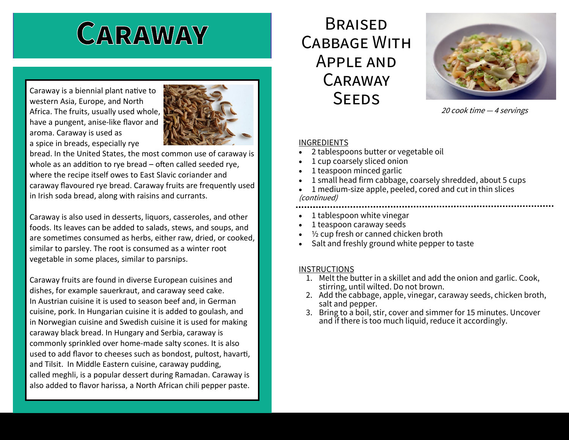# CARAWAY

Caraway is a biennial plant native to western Asia, Europe, and North Africa. The fruits, usually used whole, have a pungent, anise-like flavor and aroma. Caraway is used as a spice in breads, especially rye



bread. In the United States, the most common use of caraway is whole as an addition to rye bread – often called seeded rye, where the recipe itself owes to East Slavic coriander and caraway flavoured rye bread. Caraway fruits are frequently used in Irish soda bread, along with raisins and currants.

Caraway is also used in desserts, liquors, casseroles, and other foods. Its leaves can be added to salads, stews, and soups, and are sometimes consumed as herbs, either raw, dried, or cooked, similar to parsley. The root is consumed as a winter root vegetable in some places, similar to parsnips.

Caraway fruits are found in diverse European cuisines and dishes, for example sauerkraut, and caraway seed cake. In Austrian cuisine it is used to season beef and, in German cuisine, pork. In Hungarian cuisine it is added to goulash, and in Norwegian cuisine and Swedish cuisine it is used for making caraway black bread. In Hungary and Serbia, caraway is commonly sprinkled over home-made salty scones. It is also used to add flavor to cheeses such as bondost, pultost, havarti, and Tilsit. In Middle Eastern cuisine, caraway pudding, called meghli, is a popular dessert during Ramadan. Caraway is also added to flavor harissa, a North African chili pepper paste.

### **BRAISED** Cabbage With Apple and Caraway **SEEDS**



20 cook time — <sup>4</sup>servings

#### INGREDIENTS

- 2 tablespoons butter or vegetable oil
- 1 cup coarsely sliced onion
- 1 teaspoon minced garlic
- 1 small head firm cabbage, coarsely shredded, about 5 cups
- 1 medium-size apple, peeled, cored and cut in thin slices (continued)
- 1 tablespoon white vinegar
- 1 teaspoon caraway seeds
- <sup>1</sup>/<sub>2</sub> cup fresh or canned chicken broth
- Salt and freshly ground white pepper to taste

#### **INSTRUCTIONS**

- 1. Melt the butter in a skillet and add the onion and garlic. Cook, stirring, until wilted. Do not brown.
- 2. Add the cabbage, apple, vinegar, caraway seeds, chicken broth, salt and pepper.
- 3. Bring to a boil, stir, cover and simmer for 15 minutes. Uncover and if there is too much liquid, reduce it accordingly.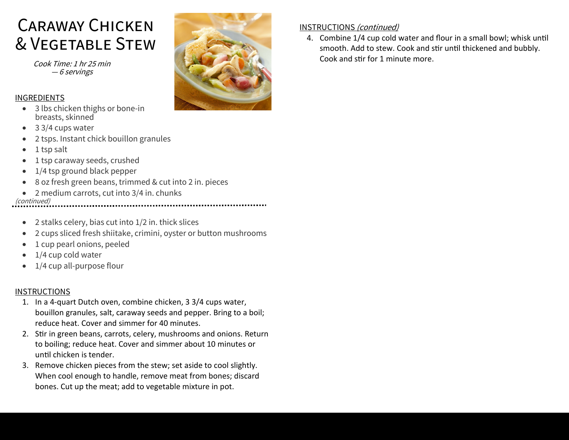## Caraway Chicken & Vegetable Stew

Cook Time: 1 hr 25 min — 6 servings

#### INGREDIENTS

- 3 lbs chicken thighs or bone-in breasts, skinned
- 3 3/4 cups water
- 2 tsps. Instant chick bouillon granules
- 1 tsp salt
- 1 tsp caraway seeds, crushed
- 1/4 tsp ground black pepper
- 8 oz fresh green beans, trimmed & cut into 2 in. pieces
- 2 medium carrots, cut into 3/4 in. chunks

(continued) 

- 2 stalks celery, bias cut into 1/2 in. thick slices
- 2 cups sliced fresh shiitake, crimini, oyster or button mushrooms
- 1 cup pearl onions, peeled
- 1/4 cup cold water
- 1/4 cup all-purpose flour

#### INSTRUCTIONS

- 1. In a 4-quart Dutch oven, combine chicken, 3 3/4 cups water, bouillon granules, salt, caraway seeds and pepper. Bring to a boil; reduce heat. Cover and simmer for 40 minutes.
- 2. Stir in green beans, carrots, celery, mushrooms and onions. Return to boiling; reduce heat. Cover and simmer about 10 minutes or until chicken is tender.
- 3. Remove chicken pieces from the stew; set aside to cool slightly. When cool enough to handle, remove meat from bones; discard bones. Cut up the meat; add to vegetable mixture in pot.



#### INSTRUCTIONS (continued)

4. Combine 1/4 cup cold water and flour in a small bowl; whisk until smooth. Add to stew. Cook and stir until thickened and bubbly. Cook and stir for 1 minute more.